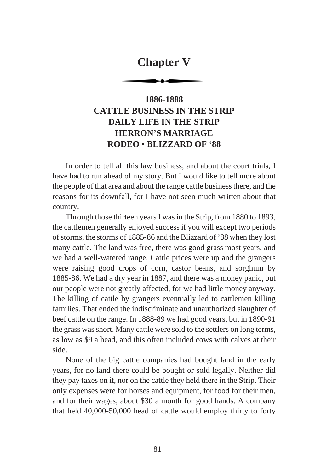# **Chapter V**

# **1886-1888 CATTLE BUSINESS IN THE STRIP DAILY LIFE IN THE STRIP HERRON'S MARRIAGE RODEO • BLIZZARD OF '88**

In order to tell all this law business, and about the court trials, I have had to run ahead of my story. But I would like to tell more about the people of that area and about the range cattle business there, and the reasons for its downfall, for I have not seen much written about that country.

Through those thirteen years I was in the Strip, from 1880 to 1893, the cattlemen generally enjoyed success if you will except two periods of storms, the storms of 1885-86 and the Blizzard of '88 when they lost many cattle. The land was free, there was good grass most years, and we had a well-watered range. Cattle prices were up and the grangers were raising good crops of corn, castor beans, and sorghum by 1885-86. We had a dry year in 1887, and there was a money panic, but our people were not greatly affected, for we had little money anyway. The killing of cattle by grangers eventually led to cattlemen killing families. That ended the indiscriminate and unauthorized slaughter of beef cattle on the range. In 1888-89 we had good years, but in 1890-91 the grass was short. Many cattle were sold to the settlers on long terms, as low as \$9 a head, and this often included cows with calves at their side.

None of the big cattle companies had bought land in the early years, for no land there could be bought or sold legally. Neither did they pay taxes on it, nor on the cattle they held there in the Strip. Their only expenses were for horses and equipment, for food for their men, and for their wages, about \$30 a month for good hands. A company that held 40,000-50,000 head of cattle would employ thirty to forty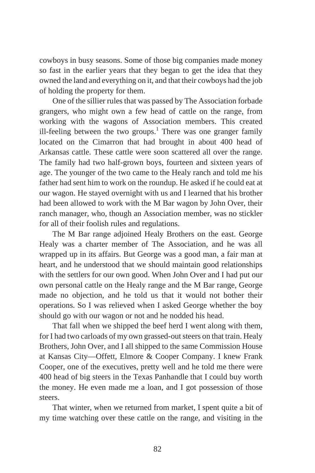cowboys in busy seasons. Some of those big companies made money so fast in the earlier years that they began to get the idea that they owned the land and everything on it, and that their cowboys had the job of holding the property for them.

One of the sillier rules that was passed by The Association forbade grangers, who might own a few head of cattle on the range, from working with the wagons of Association members. This created ill-feeling between the two groups.<sup>1</sup> There was one granger family located on the Cimarron that had brought in about 400 head of Arkansas cattle. These cattle were soon scattered all over the range. The family had two half-grown boys, fourteen and sixteen years of age. The younger of the two came to the Healy ranch and told me his father had sent him to work on the roundup. He asked if he could eat at our wagon. He stayed overnight with us and I learned that his brother had been allowed to work with the M Bar wagon by John Over, their ranch manager, who, though an Association member, was no stickler for all of their foolish rules and regulations.

The M Bar range adjoined Healy Brothers on the east. George Healy was a charter member of The Association, and he was all wrapped up in its affairs. But George was a good man, a fair man at heart, and he understood that we should maintain good relationships with the settlers for our own good. When John Over and I had put our own personal cattle on the Healy range and the M Bar range, George made no objection, and he told us that it would not bother their operations. So I was relieved when I asked George whether the boy should go with our wagon or not and he nodded his head.

That fall when we shipped the beef herd I went along with them, for I had two carloads of my own grassed-out steers on that train. Healy Brothers, John Over, and I all shipped to the same Commission House at Kansas City—Offett, Elmore & Cooper Company. I knew Frank Cooper, one of the executives, pretty well and he told me there were 400 head of big steers in the Texas Panhandle that I could buy worth the money. He even made me a loan, and I got possession of those steers.

That winter, when we returned from market, I spent quite a bit of my time watching over these cattle on the range, and visiting in the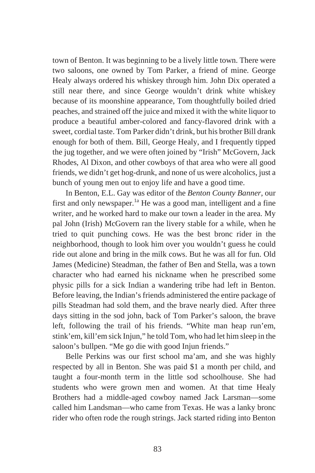town of Benton. It was beginning to be a lively little town. There were two saloons, one owned by Tom Parker, a friend of mine. George Healy always ordered his whiskey through him. John Dix operated a still near there, and since George wouldn't drink white whiskey because of its moonshine appearance, Tom thoughtfully boiled dried peaches, and strained off the juice and mixed it with the white liquor to produce a beautiful amber-colored and fancy-flavored drink with a sweet, cordial taste. Tom Parker didn't drink, but his brother Bill drank enough for both of them. Bill, George Healy, and I frequently tipped the jug together, and we were often joined by "Irish" McGovern, Jack Rhodes, Al Dixon, and other cowboys of that area who were all good friends, we didn't get hog-drunk, and none of us were alcoholics, just a bunch of young men out to enjoy life and have a good time.

In Benton, E.L. Gay was editor of the *Benton County Banner*, our first and only newspaper.<sup>1a</sup> He was a good man, intelligent and a fine writer, and he worked hard to make our town a leader in the area. My pal John (Irish) McGovern ran the livery stable for a while, when he tried to quit punching cows. He was the best bronc rider in the neighborhood, though to look him over you wouldn't guess he could ride out alone and bring in the milk cows. But he was all for fun. Old James (Medicine) Steadman, the father of Ben and Stella, was a town character who had earned his nickname when he prescribed some physic pills for a sick Indian a wandering tribe had left in Benton. Before leaving, the Indian's friends administered the entire package of pills Steadman had sold them, and the brave nearly died. After three days sitting in the sod john, back of Tom Parker's saloon, the brave left, following the trail of his friends. "White man heap run'em, stink'em, kill'em sick Injun," he told Tom, who had let him sleep in the saloon's bullpen. "Me go die with good Injun friends."

Belle Perkins was our first school ma'am, and she was highly respected by all in Benton. She was paid \$1 a month per child, and taught a four-month term in the little sod schoolhouse. She had students who were grown men and women. At that time Healy Brothers had a middle-aged cowboy named Jack Larsman—some called him Landsman—who came from Texas. He was a lanky bronc rider who often rode the rough strings. Jack started riding into Benton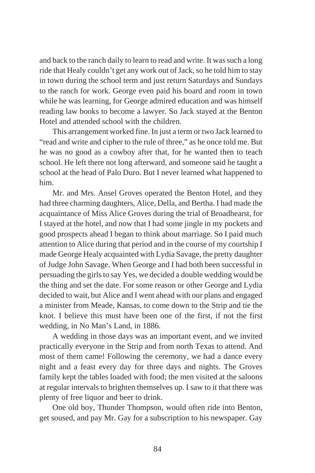and back to the ranch daily to learn to read and write. It was such a long ride that Healy couldn't get any work out of Jack, so he told him to stay in town during the school term and just return Saturdays and Sundays to the ranch for work. George even paid his board and room in town while he was learning, for George admired education and was himself reading law books to become a lawyer. So Jack stayed at the Benton Hotel and attended school with the children.

This arrangement worked fine. In just a term or two Jack learned to "read and write and cipher to the rule of three," as he once told me. But he was no good as a cowboy after that, for he wanted then to teach school. He left there not long afterward, and someone said he taught a school at the head of Palo Duro. But I never learned what happened to him.

Mr. and Mrs. Ansel Groves operated the Benton Hotel, and they had three charming daughters, Alice, Della, and Bertha. I had made the acquaintance of Miss Alice Groves during the trial of Broadhearst, for I stayed at the hotel, and now that I had some jingle in my pockets and good prospects ahead I began to think about marriage. So I paid much attention to Alice during that period and in the course of my courtship I made George Healy acquainted with Lydia Savage, the pretty daughter of Judge John Savage. When George and I had both been successful in persuading the girls to say Yes, we decided a double wedding would be the thing and set the date. For some reason or other George and Lydia decided to wait, but Alice and I went ahead with our plans and engaged a minister from Meade, Kansas, to come down to the Strip and tie the knot. I believe this must have been one of the first, if not the first wedding, in No Man's Land, in 1886.

A wedding in those days was an important event, and we invited practically everyone in the Strip and from north Texas to attend. And most of them came! Following the ceremony, we had a dance every night and a feast every day for three days and nights. The Groves family kept the tables loaded with food; the men visited at the saloons at regular intervals to brighten themselves up. I saw to it that there was plenty of free liquor and beer to drink.

One old boy, Thunder Thompson, would often ride into Benton, get soused, and pay Mr. Gay for a subscription to his newspaper. Gay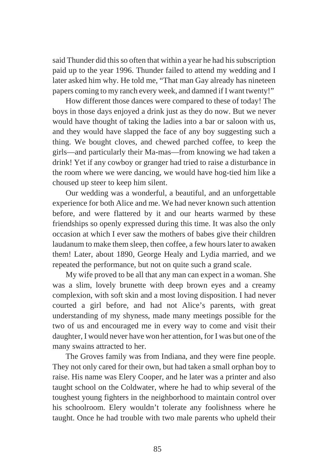said Thunder did this so often that within a year he had his subscription paid up to the year 1996. Thunder failed to attend my wedding and I later asked him why. He told me, "That man Gay already has nineteen papers coming to my ranch every week, and damned if I want twenty!"

How different those dances were compared to these of today! The boys in those days enjoyed a drink just as they do now. But we never would have thought of taking the ladies into a bar or saloon with us, and they would have slapped the face of any boy suggesting such a thing. We bought cloves, and chewed parched coffee, to keep the girls—and particularly their Ma-mas—from knowing we had taken a drink! Yet if any cowboy or granger had tried to raise a disturbance in the room where we were dancing, we would have hog-tied him like a choused up steer to keep him silent.

Our wedding was a wonderful, a beautiful, and an unforgettable experience for both Alice and me. We had never known such attention before, and were flattered by it and our hearts warmed by these friendships so openly expressed during this time. It was also the only occasion at which I ever saw the mothers of babes give their children laudanum to make them sleep, then coffee, a few hours later to awaken them! Later, about 1890, George Healy and Lydia married, and we repeated the performance, but not on quite such a grand scale.

My wife proved to be all that any man can expect in a woman. She was a slim, lovely brunette with deep brown eyes and a creamy complexion, with soft skin and a most loving disposition. I had never courted a girl before, and had not Alice's parents, with great understanding of my shyness, made many meetings possible for the two of us and encouraged me in every way to come and visit their daughter, I would never have won her attention, for I was but one of the many swains attracted to her.

The Groves family was from Indiana, and they were fine people. They not only cared for their own, but had taken a small orphan boy to raise. His name was Elery Cooper, and he later was a printer and also taught school on the Coldwater, where he had to whip several of the toughest young fighters in the neighborhood to maintain control over his schoolroom. Elery wouldn't tolerate any foolishness where he taught. Once he had trouble with two male parents who upheld their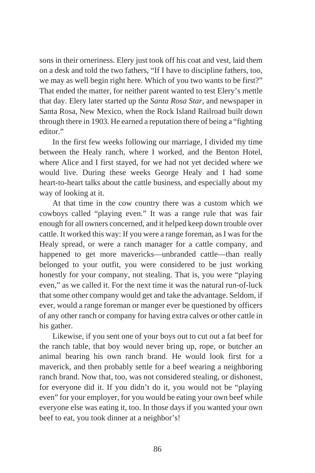sons in their orneriness. Elery just took off his coat and vest, laid them on a desk and told the two fathers, "If I have to discipline fathers, too, we may as well begin right here. Which of you two wants to be first?" That ended the matter, for neither parent wanted to test Elery's mettle that day. Elery later started up the *Santa Rosa Star*, and newspaper in Santa Rosa, New Mexico, when the Rock Island Railroad built down through there in 1903. He earned a reputation there of being a "fighting editor"

In the first few weeks following our marriage, I divided my time between the Healy ranch, where I worked, and the Benton Hotel, where Alice and I first stayed, for we had not yet decided where we would live. During these weeks George Healy and I had some heart-to-heart talks about the cattle business, and especially about my way of looking at it.

At that time in the cow country there was a custom which we cowboys called "playing even." It was a range rule that was fair enough for all owners concerned, and it helped keep down trouble over cattle. It worked this way: If you were a range foreman, as I was for the Healy spread, or were a ranch manager for a cattle company, and happened to get more mavericks—unbranded cattle—than really belonged to your outfit, you were considered to be just working honestly for your company, not stealing. That is, you were "playing even," as we called it. For the next time it was the natural run-of-luck that some other company would get and take the advantage. Seldom, if ever, would a range foreman or manger ever be questioned by officers of any other ranch or company for having extra calves or other cattle in his gather.

Likewise, if you sent one of your boys out to cut out a fat beef for the ranch table, that boy would never bring up, rope, or butcher an animal bearing his own ranch brand. He would look first for a maverick, and then probably settle for a beef wearing a neighboring ranch brand. Now that, too, was not considered stealing, or dishonest, for everyone did it. If you didn't do it, you would not be "playing even" for your employer, for you would be eating your own beef while everyone else was eating it, too. In those days if you wanted your own beef to eat, you took dinner at a neighbor's!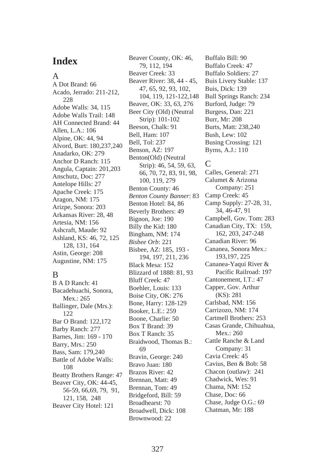# **Index**

#### A

A Dot Brand: 66 Acado, Jerrado: 211-212, 228 Adobe Walls: 34, 115 Adobe Walls Trail: 148 AH Connected Brand: 44 Allen, L.A.: 106 Alpine, OK: 44, 94 Alvord, Burt: 180,237,240 Anadarko, OK: 279 Anchor D Ranch: 115 Angula, Captain: 201,203 Anschutz, Doc: 277 Antelope Hills: 27 Apache Creek: 175 Aragon, NM: 175 Arizpe, Sonora: 203 Arkansas River: 28, 48 Artesia, NM: 156 Ashcraft, Maude: 92 Ashland, KS: 46, 72, 125 128, 131, 164 Astin, George: 208 Augustine, NM: 175

#### B

B A D Ranch: 41 Bacadehuachi, Sonora, Mex.: 265 Ballinger, Dale (Mrs.): 122 Bar O Brand: 122,172 Barby Ranch: 277 Barnes, Jim: 169 - 170 Barry, Mrs.: 250 Bass, Sam: 179,240 Battle of Adobe Walls: 108 Beatty Brothers Range: 47 Beaver City, OK: 44-45, 56-59, 66,69, 79, 91, 121, 158, 248 Beaver City Hotel: 121

Beaver County, OK: 46, 79, 112, 194 Beaver Creek: 33 Beaver River: 38, 44 - 45, 47, 65, 92, 93, 102, 104, 119, 121-122,148 Beaver, OK: 33, 63, 276 Beer City (Old) (Neutral Strip): 101-102 Beeson, Chalk: 91 Bell, Ham: 107 Bell, Tol: 237 Benson, AZ: 197 Benton(Old) (Neutral Strip): 46, 54, 59, 63, 66, 70, 72, 83, 91, 98, 100, 119, 279 Benton County: 46 *Benton County Banner*: 83 Benton Hotel: 84, 86 Beverly Brothers: 49 Bignon, Joe: 190 Billy the Kid: 180 Bingham, NM: 174 *Bisbee Orb*: 221 Bisbee, AZ: 185, 193 - 194, 197, 211, 236 Black Mesa: 152 Blizzard of 1888: 81, 93 Bluff Creek: 47 Boehler, Louis: 133 Boise City, OK: 276 Bone, Harry: 128-129 Booker, L.E.: 259 Boone, Charlie: 50 Box T Brand: 39 Box T Ranch: 35 Braidwood, Thomas B.: 69 Bravin, George: 240 Bravo Juan: 180 Brazos River: 42 Brennan, Matt: 49 Brennan, Tom: 49 Bridgeford, Bill: 59 Broadhearst: 70 Broadwell, Dick: 108 Brownwood: 22

Buffalo Bill: 90 Buffalo Creek: 47 Buffalo Soldiers: 27 Buis Livery Stable: 137 Buis, Dick: 139 Bull Springs Ranch: 234 Burford, Judge: 79 Burgess, Dan: 221 Burr, Mr: 208 Burts, Matt: 238,240 Bush, Lew: 102 Busing Crossing: 121 Byrns, A.J.: 110

#### $\mathcal C$

Calles, General: 271 Calumet & Arizona Company: 251 Camp Creek: 45 Camp Supply: 27-28, 31, 34, 46-47, 91 Campbell, Gov. Tom: 283 Canadian City, TX: 159, 162, 203, 247-248 Canadian River: 96 Cananea, Sonora Mex.: 193,197, 225 Cananea-Yaqui River & Pacific Railroad: 197 Cantonement, I.T.: 47 Capper, Gov. Arthur (KS): 281 Carlsbad, NM: 156 Carrizozo, NM: 174 Cartmell Brothers: 253 Casas Grande, Chihuahua, Mex.: 260 Cattle Ranche & Land Company: 31 Cavia Creek: 45 Cavius, Ben & Bob: 58 Chacon (outlaw): 241 Chadwick, Wes: 91 Chama, NM: 152 Chase, Doc: 66 Chase, Judge O.G.: 69 Chatman, Mr: 188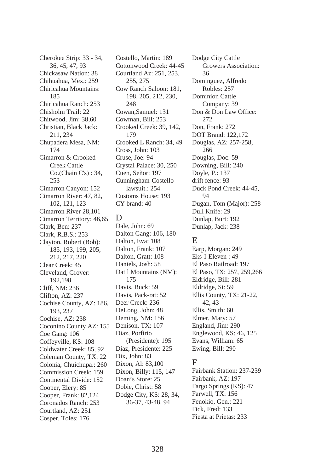Cherokee Strip: 33 - 34, 36, 45, 47, 93 Chickasaw Nation: 38 Chihuahua, Mex.: 259 Chiricahua Mountains: 185 Chiricahua Ranch: 253 Chisholm Trail: 22 Chitwood, Jim: 38,60 Christian, Black Jack: 211, 234 Chupadera Mesa, NM: 174 Cimarron & Crooked Creek Cattle Co.(Chain C's) : 34, 253 Cimarron Canyon: 152 Cimarron River: 47, 82, 102, 121, 123 Cimarron River 28,101 Cimarron Territory: 46,65 Clark, Ben: 237 Clark, R.B.S.: 253 Clayton, Robert (Bob): 185, 193, 199, 205, 212, 217, 220 Clear Creek: 45 Cleveland, Grover: 192,198 Cliff, NM: 236 Clifton, AZ: 237 Cochise County, AZ: 186, 193, 237 Cochise, AZ: 238 Coconino County AZ: 155 Coe Gang: 106 Coffeyville, KS: 108 Coldwater Creek: 85, 92 Coleman County, TX: 22 Colonia, Chuichupa.: 260 Commission Creek: 159 Continental Divide: 152 Cooper, Elery: 85 Cooper, Frank: 82,124 Coronados Ranch: 253 Courtland, AZ: 251 Cosper, Toles: 176

Costello, Martin: 189 Cottonwood Creek: 44-45 Courtland Az: 251, 253, 255, 275 Cow Ranch Saloon: 181, 198, 205, 212, 230, 248 Cowan,Samuel: 131 Cowman, Bill: 253 Crooked Creek: 39, 142, 179 Crooked L Ranch: 34, 49 Cross, John: 103 Cruse, Joe: 94 Crystal Palace: 30, 250 Cuen, Señor: 197 Cunningham-Costello lawsuit.: 254 Customs House: 193 CY brand: 40

#### D

Dale, John: 69 Dalton Gang: 106, 180 Dalton, Eva: 108 Dalton, Frank: 107 Dalton, Gratt: 108 Daniels, Josh: 58 Datil Mountains (NM): 175 Davis, Buck: 59 Davis, Pack-rat: 52 Deer Creek: 236 DeLong, John: 48 Deming, NM: 156 Denison, TX: 107 Diaz, Porfirio (Presidente): 195 Diaz, Presidente: 225 Dix, John: 83 Dixon, Al: 83,100 Dixon, Billy: 115, 147 Doan's Store: 25 Dobie, Christ: 58 Dodge City, KS: 28, 34, 36-37, 43-48, 94

Dodge City Cattle Growers Association: 36 Dominguez, Alfredo Robles: 257 Dominion Cattle Company: 39 Don & Don Law Office: 272 Don, Frank: 272 DOT Brand: 122,172 Douglas, AZ: 257-258, 266 Douglas, Doc: 59 Downing, Bill: 240 Doyle, P.: 137 drift fence: 93 Duck Pond Creek: 44-45, 94 Dugan, Tom (Major): 258 Dull Knife: 29 Dunlap, Burt: 192 Dunlap, Jack: 238

# E

Earp, Morgan: 249 Eks-I-Eleven : 49 El Paso Railroad: 197 El Paso, TX: 257, 259,266 Eldridge, Bill: 281 Eldridge, Si: 59 Ellis County, TX: 21-22, 42, 43 Ellis, Smith: 60 Elmer, Mary: 57 England, Jim: 290 Englewood, KS: 46, 125 Evans, William: 65 Ewing, Bill: 290

# F

Fairbank Station: 237-239 Fairbank, AZ: 197 Fargo Springs (KS): 47 Farwell, TX: 156 Fenokio, Gen.: 221 Fick, Fred: 133 Fiesta at Prietas: 233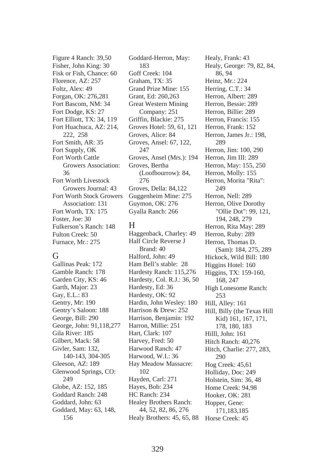Figure 4 Ranch: 39,50 Fisher, John King: 30 Fisk or Fish, Chance: 60 Florence, AZ: 257 Foltz, Alex: 49 Forgan, OK: 276,281 Fort Bascom, NM: 34 Fort Dodge, KS: 27 Fort Elliott, TX: 34, 119 Fort Huachuca, AZ: 214, 222, 258 Fort Smith, AR: 35 Fort Supply, OK Fort Worth Cattle Growers Association: 36 Fort Worth Livestock Growers Journal: 43 Fort Worth Stock Growers Association: 131 Fort Worth, TX: 175 Foster, Joe: 30 Fulkerson's Ranch: 148 Fulton Creek: 50 Furnace, Mr.: 275

## G

Gallinas Peak: 172 Gamble Ranch: 178 Garden City, KS: 46 Garth, Major: 23 Gay, E.L.: 83 Gentry, Mr: 190 Gentry's Saloon: 188 George, Bill: 290 George, John: 91,118,277 Gila River: 185 Gilbert, Mack: 58 Givler, Sam: 132, 140-143, 304-305 Gleeson, AZ: 189 Glenwood Springs, CO: 249 Globe, AZ: 152, 185 Goddard Ranch: 248 Goddard, John: 63 Goddard, May: 63, 148, 156

Goddard-Herron, May: 183 Goff Creek: 104 Graham, TX: 35 Grand Prize Mine: 155 Grant, Ed: 260,263 Great Western Mining Company: 251 Griffin, Blackie: 275 Groves Hotel: 59, 61, 121 Groves, Alice: 84 Groves, Ansel: 67, 122, 247 Groves, Ansel (Mrs.): 194 Groves, Bertha (Loofbourrow): 84, 276 Groves, Della: 84,122 Guggenheim Mine: 275 Guymon, OK: 276 Gyalla Ranch: 266

## H

Haggenback, Charley: 49 Half Circle Reverse J Brand: 40 Halford, John: 49 Ham Bell's stable: 28 Hardesty Ranch: 115,276 Hardesty, Col. R.J.: 36, 50 Hardesty, Ed: 36 Hardesty, OK: 92 Hardin, John Wesley: 180 Harrison & Drew: 252 Harrison, Benjamin: 192 Harron, Millie: 251 Hart, Clark: 107 Harvey, Fred: 50 Harwood Ranch: 47 Harwood, W.I.: 36 Hay Meadow Massacre: 102 Hayden, Carl: 271 Hayes, Bob: 234 HC Ranch: 234 Healey Brothers Ranch: 44, 52, 82, 86, 276 Healy Brothers: 45, 65, 88

Healy, Frank: 43 Healy, George: 79, 82, 84, 86, 94 Heinz, Mr.: 224 Herring, C.T.: 34 Herron, Albert: 289 Herron, Bessie: 289 Herron, Billie: 289 Herron, Francis: 155 Herron, Frank: 152 Herron, James Jr.: 198, 289 Herron, Jim: 100, 290 Herron, Jim III: 289 Herron, May: 155, 250 Herron, Molly: 155 Herron, Morita "Rita": 249 Herron, Nell: 289 Herron, Olive Dorothy "Ollie Dot": 99, 121, 194, 248, 279 Herron, Rita May: 289 Herron, Ruby: 289 Herron, Thomas D. (Sam): 184, 275, 289 Hickock, Wild Bill: 180 Higgins Hotel: 160 Higgins, TX: 159-160, 168, 247 High Lonesome Ranch: 253 Hill, Alley: 161 Hill, Billy (the Texas Hill Kid) 161, 167, 171, 178, 180, 183 Hilll, John: 161 Hitch Ranch: 40,276 Hitch, Charlie: 277, 283, 290 Hog Creek: 45,61 Holliday, Doc: 249 Holstein, Sim: 36, 48 Home Creek: 94,98 Hooker, OK: 281 Hopper, Gene: 171,183,185 Horse Creek: 45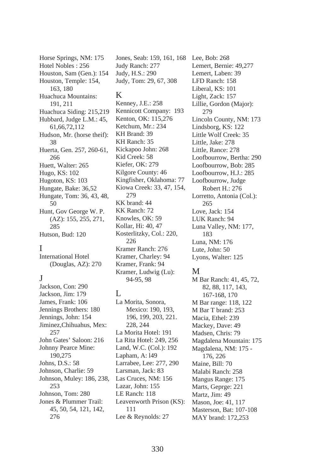Horse Springs, NM: 175 Hotel Nobles : 256 Houston, Sam (Gen.): 154 Houston, Temple: 154, 163, 180 Huachuca Mountains: 191, 211 Huachuca Siding: 215,219 Hubbard, Judge L.M.: 45, 61,66,72,112 Hudson, Mr. (horse theif): 38 Huerta, Gen. 257, 260-61, 266 Huett, Walter: 265 Hugo, KS: 102 Hugoton, KS: 103 Hungate, Bake: 36,52 Hungate, Tom: 36, 43, 48, 50 Hunt, Gov George W. P. (AZ): 155, 255, 271, 285 Hutson, Bud: 120

## I

International Hotel (Douglas, AZ): 270

## J

Jackson, Con: 290 Jackson, Jim: 179 James, Frank: 106 Jennings Brothers: 180 Jennings, John: 154 Jiminez,Chihuahus, Mex: 257 John Gates' Saloon: 216 Johnny Pearce Mine: 190,275 Johns, D.S.: 58 Johnson, Charlie: 59 Johnson, Muley: 186, 238, 253 Johnson, Tom: 280 Jones & Plummer Trail: 45, 50, 54, 121, 142, 276

Jones, Seab: 159, 161, 168 Judy Ranch: 277 Judy, H.S.: 290 Judy, Tom: 29, 67, 308

#### K

Kenney, J.E.: 258 Kennicott Company: 193 Kenton, OK: 115,276 Ketchum, Mr.: 234 KH Brand: 39 KH Ranch: 35 Kickapoo John: 268 Kid Creek: 58 Kiefer, OK: 279 Kilgore County: 46 Kingfisher, Oklahoma: 77 Kiowa Creek: 33, 47, 154, 279 KK brand: 44 KK Ranch: 72 Knowles, OK: 59 Kollar, Hi: 40, 47 Kosterlitzky, Col.: 220, 226 Kramer Ranch: 276 Kramer, Charley: 94 Kramer, Frank: 94 Kramer, Ludwig (Lu): 94-95, 98

## L

La Morita, Sonora, Mexico: 190, 193, 196, 199, 203, 221. 228, 244 La Morita Hotel: 191 La Rita Hotel: 249, 256 Land, W.C. (Col.): 192 Lapham, A: l49 Larrabee, Lee: 277, 290 Larsman, Jack: 83 Las Cruces, NM: 156 Lazar, John: 155 LE Ranch: 118 Leavenworth Prison (KS): 111 Lee & Reynolds: 27

Lee, Bob: 268 Lemert, Bernie: 49,277 Lemert, Laben: 39 LFD Ranch: 158 Liberal, KS: 101 Light, Zack: 157 Lillie, Gordon (Major): 279 Lincoln County, NM: 173 Lindsborg, KS: 122 Little Wolf Creek: 35 Little, Jake: 278 Little, Rance: 278 Loofbourrow, Bertha: 290 Loofbourrow, Bob: 285 Loofbourrow, H.J.: 285 Loofbourrow, Judge Robert H.: 276 Lorretto, Antonia (Col.): 265 Love, Jack: 154 LUK Ranch: 94 Luna Valley, NM: 177, 183 Luna, NM: 176 Lute, John: 50 Lyons, Walter: 125

## M

M Bar Ranch: 41, 45, 72, 82, 88, 117, 143, 167-168, 170 M Bar range: 118, 122 M Bar T brand: 253 Macia, Ethel: 239 Mackey, Dave: 49 Madsen, Chris: 79 Magdalena Mountain: 175 Magdalena, NM: 175 - 176, 226 Maine, Bill: 70 Malabi Ranch: 258 Mangus Range: 175 Marts, Geprge: 221 Martz, Jim: 49 Mason, Joe: 41, 117 Masterson, Bat: 107-108 MAY brand: 172,253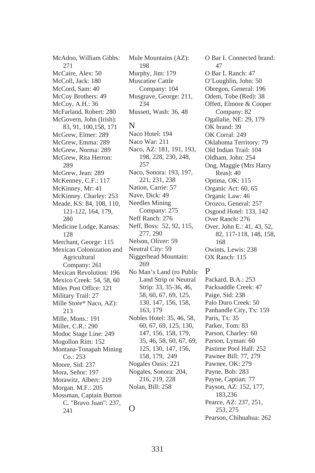McAdoo, William Gibbs: 271 McCaire, Alex: 50 McColl, Jack: 180 McCord, Sam: 40 McCoy Brothers: 49 McCoy, A.H.: 36 McFarland, Robert: 280 McGovern, John (Irish): 83, 91, 100,158, 171 McGrew, Elmer: 289 McGrew, Emma: 289 McGrew, Norma: 289 McGrew, Rita Herron: 289 McGrew, Jean: 289 McKenney, C.F.: 117 McKinney, Mr: 41 McKinney. Charley: 253 Meade, KS: 84, 108, 110, 121-122, 164, 179, 280 Medicine Lodge, Kansas: 128 Merchant, George: 115 Mexican Colonization and Agricultural Company: 261 Mexican Revolution: 196 Mexico Creek: 54, 58, 60 Miles Post Office: 121 Military Trail: 27 Mille Store\* Naco, AZ): 213 Mille, Mons.: 191 Miller, C.R.: 290 Modoc Stage Line: 249 Mogollon Rim: 152 Montana-Tonapah Mining Co.: 253 Moore, Sid: 237 Mora, Señor: 197 Morawitz, Albert: 219 Morgan. M.F.: 205 Mossman, Captain Burton C. "Bravo Juan": 237, 241

Mule Mountains (AZ): 198 Murphy, Jim: 179 Muscatine Cattle Company: 104 Musgrave, George: 211, 234 Mussett, Wash: 36, 48

## N

Naco Hotel: 194 Naco War: 211 Naco, AZ: 181, 191, 193, 198, 228, 230, 248, 257 Naco, Sonora: 193, 197, 221, 231, 238 Nation, Carrie: 57 Nave, Dick: 49 Needles Mining Company: 275 Neff Ranch: 276 Neff, Boss: 52, 92, 115, 277, 290 Nelson, Oliver: 59 Neutral City: 59 Niggerhead Mountain: 269 No Man's Land (ro Public Land Strip or Neutral Strip: 33, 35-36, 46, 58, 60, 67, 69, 125, 130, 147, 156, 158, 163, 179 Nobles Hotel: 35, 46, 58, 60, 67, 69, 125, 130, 147, 156, 158, 179, 35, 46, 58, 60, 67, 69, 125, 130, 147, 156, 158, 179, 249 Nogales Oasis: 221 Nogales, Sonora: 204, 216, 219, 228 Nolan, Bill: 258

 $\Omega$ 

O Bar L Connected brand: 47 O Bar L Ranch: 47 O'Loughlin, John: 50 Obregon, General: 196 Odem, Tobe (Red): 38 Offett, Elmore & Cooper Company: 82 Ogallalie, NE: 29, 179 OK brand: 39 OK Corral: 249 Oklahoma Territory: 79 Old Indian Trail: 104 Oldham, John: 254 Ong, Maggie (Mrs Harry Reas): 40 Optima, OK: 115 Organic Act: 60, 65 Organic Law: 46 Orozco, General: 257 Osgood Hotel: 133, 142 Over Ranch: 276 Over, John E.: 41, 43, 52, 82, 117-118, 148, 158, 168 Owints, Lewis: 238 OX Ranch: 115

#### P

Packard, B.A.: 253 Packsaddle Creek: 47 Paige, Sid: 238 Palo Duro Creek: 50 Panhandle City, Tx: 159 Paris, Tx: 35 Parker, Tom: 83 Parson, Charley: 60 Parson, Lyman: 60 Pastime Pool Hall: 252 Pawnee Bill: 77, 279 Pawnee, OK: 279 Payne, Bob: 283 Payne, Captian: 77 Payson, AZ: 152, 177, 183,236 Pearce, AZ: 237, 251, 253, 275 Pearson, Chihuahua: 262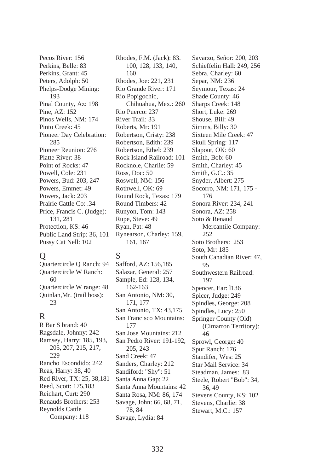Pecos River: 156 Perkins, Belle: 83 Perkins, Grant: 45 Peters, Adolph: 50 Phelps-Dodge Mining: 193 Pinal County, Az: 198 Pine, AZ: 152 Pinos Wells, NM: 174 Pinto Creek: 45 Pioneer Day Celebration: 285 Pioneer Reunion: 276 Platte River: 38 Point of Rocks: 47 Powell, Cole: 231 Powers, Bud: 203, 247 Powers, Emmet: 49 Powers, Jack: 203 Prairie Cattle Co: .34 Price, Francis C. (Judge): 131, 281 Protection, KS: 46 Public Land Strip: 36, 101 Pussy Cat Nell: 102

# $\cup$

Quartercircle Q Ranch: 94 Quartercircle W Ranch: 60 Quartercircle W range: 48 Quinlan,Mr. (trail boss): 23

## R

R Bar S brand: 40 Ragsdale, Johnny: 242 Ramsey, Harry: 185, 193, 205, 207, 215, 217, 229 Rancho Escondido: 242 Reas, Harry: 38, 40 Red River, TX: 25, 38,181 Reed, Scott: 175,183 Reichart, Curt: 290 Renauds Brothers: 253 Reynolds Cattle Company: 118

Rhodes, F.M. (Jack): 83. 100, 128, 133, 140, 160 Rhodes, Joe: 221, 231 Rio Grande River: 171 Rio Popigochic, Chihuahua, Mex.: 260 Rio Puerco: 237 River Trail: 33 Roberts, Mr: 191 Robertson, Cristy: 238 Robertson, Edith: 239 Robertson, Ethel: 239 Rock Island Railroad: 101 Rocknole, Charlie: 59 Ross, Doc: 50 Roswell, NM: 156 Rothwell, OK: 69 Round Rock, Texas: 179 Round Timbers: 42 Runyon, Tom: 143 Rupe, Steve: 49 Ryan, Pat: 48 Rynearson, Charley: 159, 161, 167

# S

Safford, AZ: 156,185 Salazar, General: 257 Sample, Ed: 128, 134, 162-163 San Antonio, NM: 30, 171, 177 San Antonio, TX: 43,175 San Francisco Mountains: 177 San Jose Mountains: 212 San Pedro River: 191-192, 205, 243 Sand Creek: 47 Sanders, Charley: 212 Sandiford: "Shy": 51 Santa Anna Gap: 22 Santa Anna Mountains: 42 Santa Rosa, NM: 86, 174 Savage, John: 66, 68, 71, 78, 84 Savage, Lydia: 84

Savarzo, Señor: 200, 203 Schieffelin Hall: 249, 256 Sebra, Charley: 60 Separ, NM: 236 Seymour, Texas: 24 Shade County: 46 Sharps Creek: 148 Short, Luke: 269 Shouse, Bill: 49 Simms, Billy: 30 Sixteen Mile Creek: 47 Skull Spring: 117 Slapout, OK: 60 Smith, Bob: 60 Smith, Charley: 45 Smith, G.C.: 35 Snyder, Albert: 275 Socorro, NM: 171, 175 - 176 Sonora River: 234, 241 Sonora, AZ: 258 Soto & Renaud Mercantile Company: 252 Soto Brothers: 253 Soto, Mr: 185 South Canadian River: 47, 95 Southwestern Railroad: 197 Spencer, Ear: l136 Spicer, Judge: 249 Spindles, George: 208 Spindles, Lucy: 250 Springer County (Old) (Cimarron Territory): 46 Sprowl, George: 40 Spur Ranch: 176 Standifer, Wes: 25 Star Mail Service: 34 Steadman, James: 83 Steele, Robert "Bob": 34, 36, 49 Stevens County, KS: 102 Stevens, Charlie: 38 Stewart, M.C.: 157